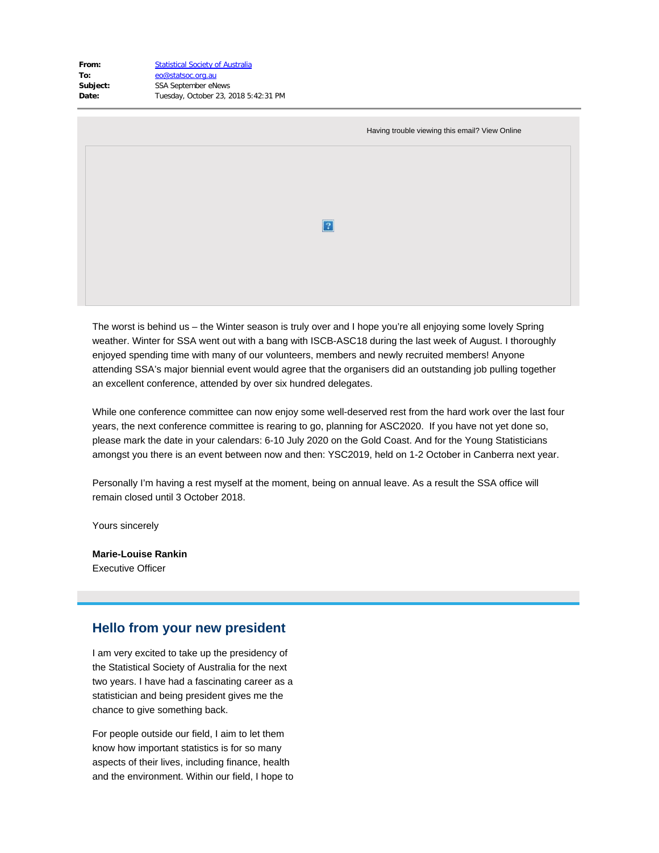| <b>Statistical Society of Australia</b> |
|-----------------------------------------|
| eo@statsoc.org.au                       |
| <b>SSA September eNews</b>              |
| Tuesday, October 23, 2018 5:42:31 PM    |
|                                         |

| Having trouble viewing this email? View Online |
|------------------------------------------------|
|                                                |
|                                                |
| $\overline{?}$                                 |
|                                                |
|                                                |

The worst is behind us – the Winter season is truly over and I hope you're all enjoying some lovely Spring weather. Winter for SSA went out with a bang with ISCB-ASC18 during the last week of August. I thoroughly enjoyed spending time with many of our volunteers, members and newly recruited members! Anyone attending SSA's major biennial event would agree that the organisers did an outstanding job pulling together an excellent conference, attended by over six hundred delegates.

While one conference committee can now enjoy some well-deserved rest from the hard work over the last four years, the next conference committee is rearing to go, planning for ASC2020. If you have not yet done so, please mark the date in your calendars: 6-10 July 2020 on the Gold Coast. And for the Young Statisticians amongst you there is an event between now and then: YSC2019, held on 1-2 October in Canberra next year.

Personally I'm having a rest myself at the moment, being on annual leave. As a result the SSA office will remain closed until 3 October 2018.

Yours sincerely

**Marie-Louise Rankin** Executive Officer

#### **Hello from your new president**

I am very excited to take up the presidency of the Statistical Society of Australia for the next two years. I have had a fascinating career as a statistician and being president gives me the chance to give something back.

For people outside our field, I aim to let them know how important statistics is for so many aspects of their lives, including finance, health and the environment. Within our field, I hope to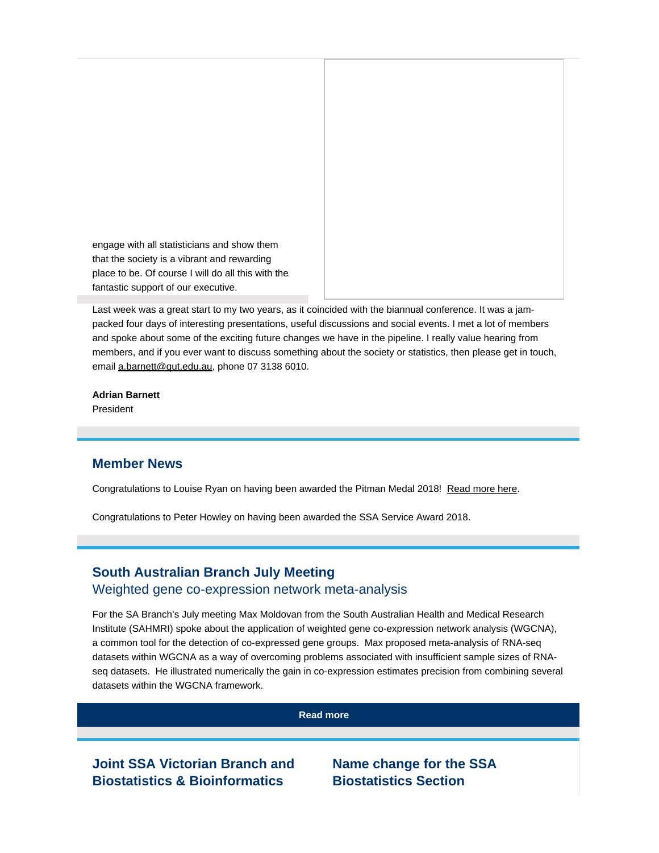engage with all statisticians and show them that the society is a vibrant and rewarding place to be. Of course I will do all this with the fantastic support of our executive.

Last week was a great start to my two years, as it coincided with the biannual conference. It was a jampacked four days of interesting presentations, useful discussions and social events. I met a lot of members and spoke about some of the exciting future changes we have in the pipeline. I really value hearing from members, and if you ever want to discuss something about the society or statistics, then please get in touch, email [a.barnett@qut.edu.au](mailto:a.barnett@qut.edu.au), phone 07 3138 6010.

#### **Adrian Barnett**

President

### **Member News**

Congratulations to Louise Ryan on having been awarded the Pitman Medal 2018! [Read more here.](https://www.vision6.com.au/ch/43209/1grzw/2599564/edAr4plbRimtif61_KVP18N8GqVJ1cdwQSgz0M4R.pdf)

Congratulations to Peter Howley on having been awarded the SSA Service Award 2018.

# **South Australian Branch July Meeting** Weighted gene co-expression network meta-analysis

For the SA Branch's July meeting Max Moldovan from the South Australian Health and Medical Research Institute (SAHMRI) spoke about the application of weighted gene co-expression network analysis (WGCNA), a common tool for the detection of co-expressed gene groups. Max proposed meta-analysis of RNA-seq datasets within WGCNA as a way of overcoming problems associated with insufficient sample sizes of RNAseq datasets. He illustrated numerically the gain in co-expression estimates precision from combining several datasets within the WGCNA framework.

**[Read more](https://www.vision6.com.au/ch/43209/1grzw/2599565/edAr4plbRimtif61_KVPkImMf.kg7dXatNpKSUo3-1.html)**

**Joint SSA Victorian Branch and Biostatistics & Bioinformatics**

**Name change for the SSA Biostatistics Section**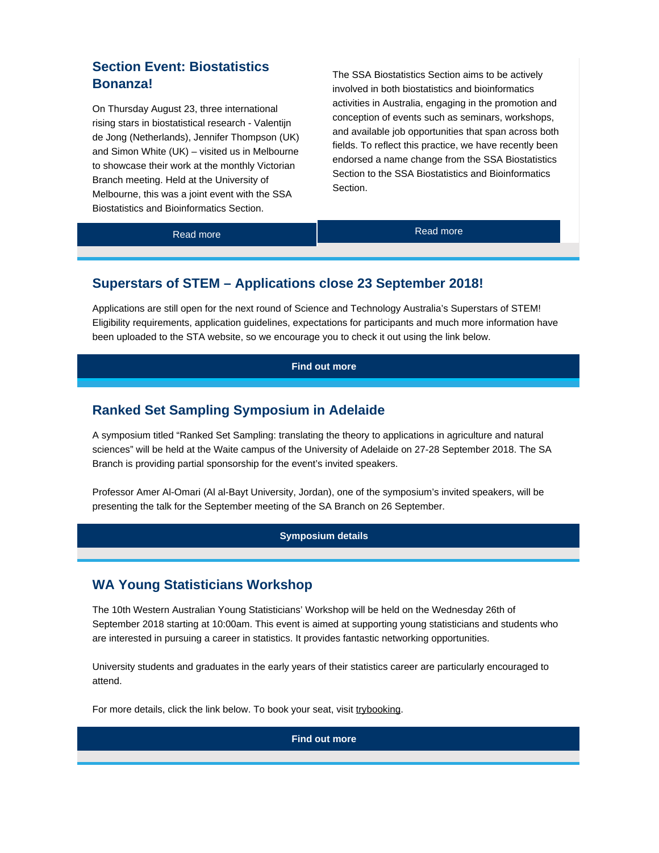# **Section Event: Biostatistics Bonanza!**

On Thursday August 23, three international rising stars in biostatistical research - Valentijn de Jong (Netherlands), Jennifer Thompson (UK) and Simon White (UK) – visited us in Melbourne to showcase their work at the monthly Victorian Branch meeting. Held at the University of Melbourne, this was a joint event with the SSA Biostatistics and Bioinformatics Section.

The SSA Biostatistics Section aims to be actively involved in both biostatistics and bioinformatics activities in Australia, engaging in the promotion and conception of events such as seminars, workshops, and available job opportunities that span across both fields. To reflect this practice, we have recently been endorsed a name change from the SSA Biostatistics Section to the SSA Biostatistics and Bioinformatics Section.

[Read more](https://www.vision6.com.au/ch/43209/1grzw/2599593/edAr4plbRimtif61_KVPJ5Ueb4MfhT7YCIkutAQW-1.html) **Read more** Read more

## **Superstars of STEM – Applications close 23 September 2018!**

Applications are still open for the next round of Science and Technology Australia's Superstars of STEM! Eligibility requirements, application guidelines, expectations for participants and much more information have been uploaded to the STA website, so we encourage you to check it out using the link below.

**[Find out more](https://www.vision6.com.au/ch/43209/1grzw/2599594/edAr4plbRimtif61_KVPGfI3haqfHfkARkFcg2J3-1.html)**

### **Ranked Set Sampling Symposium in Adelaide**

A symposium titled "Ranked Set Sampling: translating the theory to applications in agriculture and natural sciences" will be held at the Waite campus of the University of Adelaide on 27-28 September 2018. The SA Branch is providing partial sponsorship for the event's invited speakers.

Professor Amer Al-Omari (Al al-Bayt University, Jordan), one of the symposium's invited speakers, will be presenting the talk for the September meeting of the SA Branch on 26 September.

#### **[Symposium details](https://www.vision6.com.au/ch/43209/1grzw/2599597/edAr4plbRimtif61_KVPwnE5sqTzYINoWMcXAOva-1.html)**

### **WA Young Statisticians Workshop**

The 10th Western Australian Young Statisticians' Workshop will be held on the Wednesday 26th of September 2018 starting at 10:00am. This event is aimed at supporting young statisticians and students who are interested in pursuing a career in statistics. It provides fantastic networking opportunities.

University students and graduates in the early years of their statistics career are particularly encouraged to attend.

For more details, click the link below. To book your seat, visit [trybooking](https://www.vision6.com.au/ch/43209/1grzw/2599598/edAr4plbRimtif61_KVP2i60AGkDBVzYpzBii0XQ.html).

**[Find out more](https://www.vision6.com.au/ch/43209/1grzw/2599599/edAr4plbRimtif61_KVP1MHjeYtBdf4f5FsKULpN-1.pdf)**